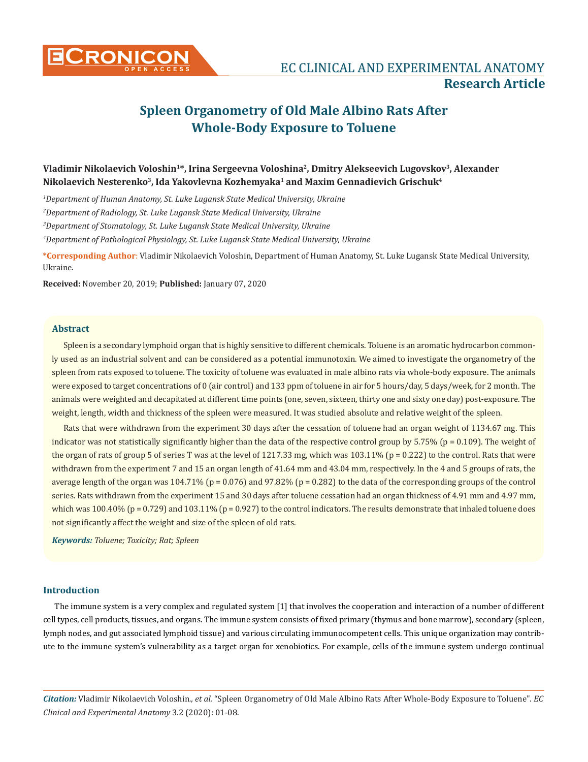

**Research Article**

# **Spleen Organometry of Old Male Albino Rats After Whole-Body Exposure to Toluene**

## **Vladimir Nikolaevich Voloshin1\*, Irina Sergeevna Voloshina2, Dmitry Alekseevich Lugovskov3, Alexander Nikolaevich Nesterenko3, Ida Yakovlevna Kozhemyaka1 and Maxim Gennadievich Grischuk4**

 *Department of Human Anatomy, St. Luke Lugansk State Medical University, Ukraine Department of Radiology, St. Luke Lugansk State Medical University, Ukraine Department of Stomatology, St. Luke Lugansk State Medical University, Ukraine Department of Pathological Physiology, St. Luke Lugansk State Medical University, Ukraine*

**\*Corresponding Author**: Vladimir Nikolaevich Voloshin, Department of Human Anatomy, St. Luke Lugansk State Medical University, Ukraine.

**Received:** November 20, 2019; **Published:** January 07, 2020

## **Abstract**

Spleen is a secondary lymphoid organ that is highly sensitive to different chemicals. Toluene is an aromatic hydrocarbon commonly used as an industrial solvent and can be considered as a potential immunotoxin. We aimed to investigate the organometry of the spleen from rats exposed to toluene. The toxicity of toluene was evaluated in male albino rats via whole-body exposure. The animals were exposed to target concentrations of 0 (air control) and 133 ppm of toluene in air for 5 hours/day, 5 days/week, for 2 month. The animals were weighted and decapitated at different time points (one, seven, sixteen, thirty one and sixty one day) post-exposure. The weight, length, width and thickness of the spleen were measured. It was studied absolute and relative weight of the spleen.

Rats that were withdrawn from the experiment 30 days after the cessation of toluene had an organ weight of 1134.67 mg. This indicator was not statistically significantly higher than the data of the respective control group by  $5.75\%$  (p = 0.109). The weight of the organ of rats of group 5 of series T was at the level of 1217.33 mg, which was  $103.11\%$  (p = 0.222) to the control. Rats that were withdrawn from the experiment 7 and 15 an organ length of 41.64 mm and 43.04 mm, respectively. In the 4 and 5 groups of rats, the average length of the organ was 104.71% (p = 0.076) and 97.82% (p = 0.282) to the data of the corresponding groups of the control series. Rats withdrawn from the experiment 15 and 30 days after toluene cessation had an organ thickness of 4.91 mm and 4.97 mm, which was  $100.40\%$  (p = 0.729) and  $103.11\%$  (p = 0.927) to the control indicators. The results demonstrate that inhaled toluene does not significantly affect the weight and size of the spleen of old rats.

*Keywords: Toluene; Toxicity; Rat; Spleen*

#### **Introduction**

The immune system is a very complex and regulated system [1] that involves the cooperation and interaction of a number of different cell types, cell products, tissues, and organs. The immune system consists of fixed primary (thymus and bone marrow), secondary (spleen, lymph nodes, and gut associated lymphoid tissue) and various circulating immunocompetent cells. This unique organization may contribute to the immune system's vulnerability as a target organ for xenobiotics. For example, cells of the immune system undergo continual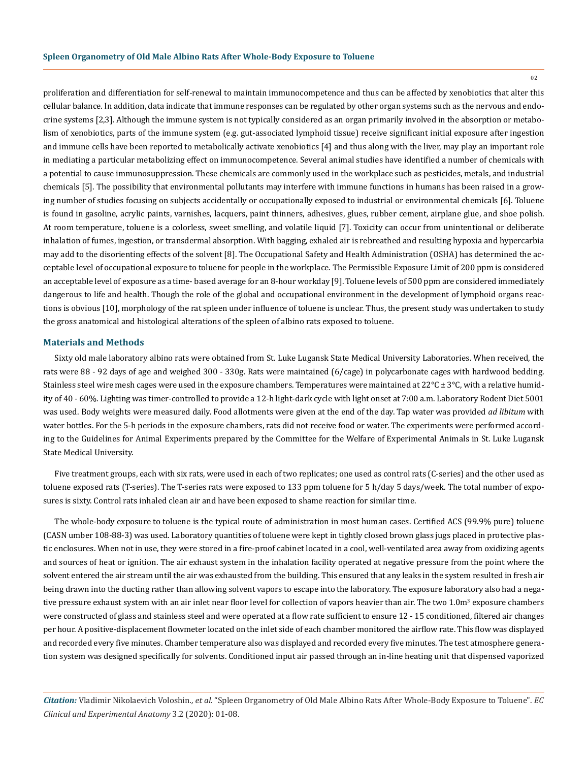02

proliferation and differentiation for self-renewal to maintain immunocompetence and thus can be affected by xenobiotics that alter this cellular balance. In addition, data indicate that immune responses can be regulated by other organ systems such as the nervous and endocrine systems [2,3]. Although the immune system is not typically considered as an organ primarily involved in the absorption or metabolism of xenobiotics, parts of the immune system (e.g. gut-associated lymphoid tissue) receive significant initial exposure after ingestion and immune cells have been reported to metabolically activate xenobiotics [4] and thus along with the liver, may play an important role in mediating a particular metabolizing effect on immunocompetence. Several animal studies have identified a number of chemicals with a potential to cause immunosuppression. These chemicals are commonly used in the workplace such as pesticides, metals, and industrial chemicals [5]. The possibility that environmental pollutants may interfere with immune functions in humans has been raised in a growing number of studies focusing on subjects accidentally or occupationally exposed to industrial or environmental chemicals [6]. Toluene is found in gasoline, acrylic paints, varnishes, lacquers, paint thinners, adhesives, glues, rubber cement, airplane glue, and shoe polish. At room temperature, toluene is a colorless, sweet smelling, and volatile liquid [7]. Toxicity can occur from unintentional or deliberate inhalation of fumes, ingestion, or transdermal absorption. With bagging, exhaled air is rebreathed and resulting hypoxia and hypercarbia may add to the disorienting effects of the solvent [8]. The Occupational Safety and Health Administration (OSHA) has determined the acceptable level of occupational exposure to toluene for people in the workplace. The Permissible Exposure Limit of 200 ppm is considered an acceptable level of exposure as a time- based average for an 8-hour workday [9]. Toluene levels of 500 ppm are considered immediately dangerous to life and health. Though the role of the global and occupational environment in the development of lymphoid organs reactions is obvious [10], morphology of the rat spleen under influence of toluene is unclear. Thus, the present study was undertaken to study the gross anatomical and histological alterations of the spleen of albino rats exposed to toluene.

#### **Materials and Methods**

Sixty old male laboratory albino rats were obtained from St. Luke Lugansk State Medical University Laboratories. When received, the rats were 88 - 92 days of age and weighed 300 - 330g. Rats were maintained (6/cage) in polycarbonate cages with hardwood bedding. Stainless steel wire mesh cages were used in the exposure chambers. Temperatures were maintained at  $22^{\circ}C \pm 3^{\circ}C$ , with a relative humidity of 40 - 60%. Lighting was timer-controlled to provide a 12-h light-dark cycle with light onset at 7:00 a.m. Laboratory Rodent Diet 5001 was used. Body weights were measured daily. Food allotments were given at the end of the day. Tap water was provided *ad libitum* with water bottles. For the 5-h periods in the exposure chambers, rats did not receive food or water. The experiments were performed according to the Guidelines for Animal Experiments prepared by the Committee for the Welfare of Experimental Animals in St. Luke Lugansk State Medical University.

Five treatment groups, each with six rats, were used in each of two replicates; one used as control rats (C-series) and the other used as toluene exposed rats (T-series). The T-series rats were exposed to 133 ppm toluene for 5 h/day 5 days/week. The total number of exposures is sixty. Control rats inhaled clean air and have been exposed to shame reaction for similar time.

The whole-body exposure to toluene is the typical route of administration in most human cases. Certified ACS (99.9% pure) toluene (CASN umber 108-88-3) was used. Laboratory quantities of toluene were kept in tightly closed brown glass jugs placed in protective plastic enclosures. When not in use, they were stored in a fire-proof cabinet located in a cool, well-ventilated area away from oxidizing agents and sources of heat or ignition. The air exhaust system in the inhalation facility operated at negative pressure from the point where the solvent entered the air stream until the air was exhausted from the building. This ensured that any leaks in the system resulted in fresh air being drawn into the ducting rather than allowing solvent vapors to escape into the laboratory. The exposure laboratory also had a negative pressure exhaust system with an air inlet near floor level for collection of vapors heavier than air. The two  $1.0$ m $^3$  exposure chambers were constructed of glass and stainless steel and were operated at a flow rate sufficient to ensure 12 - 15 conditioned, filtered air changes per hour. A positive-displacement flowmeter located on the inlet side of each chamber monitored the airflow rate. This flow was displayed and recorded every five minutes. Chamber temperature also was displayed and recorded every five minutes. The test atmosphere generation system was designed specifically for solvents. Conditioned input air passed through an in-line heating unit that dispensed vaporized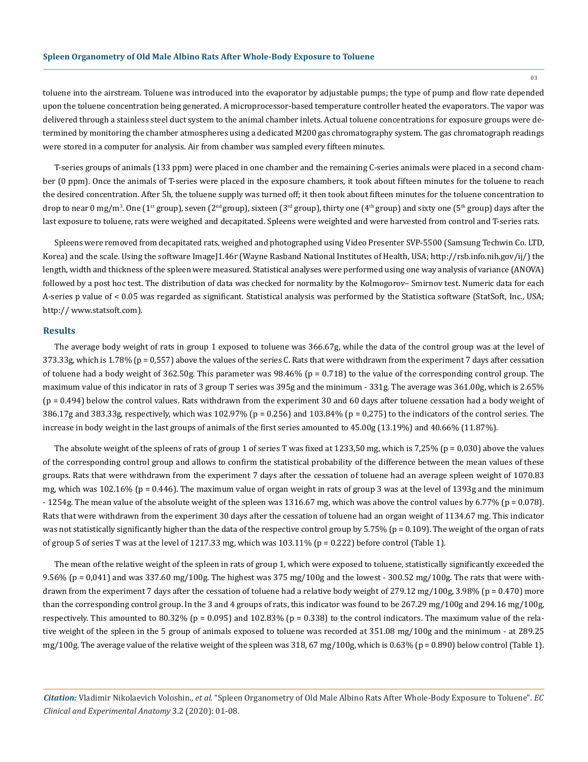toluene into the airstream. Toluene was introduced into the evaporator by adjustable pumps; the type of pump and flow rate depended upon the toluene concentration being generated. A microprocessor-based temperature controller heated the evaporators. The vapor was delivered through a stainless steel duct system to the animal chamber inlets. Actual toluene concentrations for exposure groups were determined by monitoring the chamber atmospheres using a dedicated M200 gas chromatography system. The gas chromatograph readings were stored in a computer for analysis. Air from chamber was sampled every fifteen minutes.

T-series groups of animals (133 ppm) were placed in one chamber and the remaining C-series animals were placed in a second chamber (0 ppm). Once the animals of T-series were placed in the exposure chambers, it took about fifteen minutes for the toluene to reach the desired concentration. After 5h, the toluene supply was turned off; it then took about fifteen minutes for the toluene concentration to drop to near 0 mg/m<sup>3</sup>. One (1st group), seven (2nd group), sixteen (3rd group), thirty one (4<sup>th</sup> group) and sixty one (5<sup>th</sup> group) days after the last exposure to toluene, rats were weighed and decapitated. Spleens were weighted and were harvested from control and T-series rats.

Spleens were removed from decapitated rats, weighed and photographed using Video Presenter SVP-5500 (Samsung Techwin Co. LTD, Korea) and the scale. Using the software ImageJ1.46r (Wayne Rasband National Institutes of Health, USA; http://rsb.info.nih.gov/ij/) the length, width and thickness of the spleen were measured. Statistical analyses were performed using one way analysis of variance (ANOVA) followed by a post hoc test. The distribution of data was checked for normality by the Kolmogorov– Smirnov test. Numeric data for each A-series p value of < 0.05 was regarded as significant. Statistical analysis was performed by the Statistica software (StatSoft, Inc., USA; http:// www.statsoft.com).

#### **Results**

The average body weight of rats in group 1 exposed to toluene was 366.67g, while the data of the control group was at the level of 373.33g, which is 1.78% (p = 0,557) above the values of the series C. Rats that were withdrawn from the experiment 7 days after cessation of toluene had a body weight of  $362.50g$ . This parameter was  $98.46\%$  (p = 0.718) to the value of the corresponding control group. The maximum value of this indicator in rats of 3 group T series was 395g and the minimum - 331g. The average was 361.00g, which is 2.65% (p = 0.494) below the control values. Rats withdrawn from the experiment 30 and 60 days after toluene cessation had a body weight of 386.17g and 383.33g, respectively, which was 102.97% (p = 0.256) and 103.84% (p = 0,275) to the indicators of the control series. The increase in body weight in the last groups of animals of the first series amounted to 45.00g (13.19%) and 40.66% (11.87%).

The absolute weight of the spleens of rats of group 1 of series T was fixed at 1233,50 mg, which is 7,25% ( $p = 0.030$ ) above the values of the corresponding control group and allows to confirm the statistical probability of the difference between the mean values of these groups. Rats that were withdrawn from the experiment 7 days after the cessation of toluene had an average spleen weight of 1070.83 mg, which was 102.16% (p = 0.446). The maximum value of organ weight in rats of group 3 was at the level of 1393g and the minimum - 1254g. The mean value of the absolute weight of the spleen was 1316.67 mg, which was above the control values by 6.77% (p = 0.078). Rats that were withdrawn from the experiment 30 days after the cessation of toluene had an organ weight of 1134.67 mg. This indicator was not statistically significantly higher than the data of the respective control group by 5.75% (p = 0.109). The weight of the organ of rats of group 5 of series T was at the level of 1217.33 mg, which was  $103.11\%$  (p = 0.222) before control (Table 1).

The mean of the relative weight of the spleen in rats of group 1, which were exposed to toluene, statistically significantly exceeded the 9.56% (p = 0,041) and was 337.60 mg/100g. The highest was 375 mg/100g and the lowest - 300.52 mg/100g. The rats that were withdrawn from the experiment 7 days after the cessation of toluene had a relative body weight of 279.12 mg/100g, 3.98% ( $p = 0.470$ ) more than the corresponding control group. In the 3 and 4 groups of rats, this indicator was found to be 267.29 mg/100g and 294.16 mg/100g, respectively. This amounted to 80.32% ( $p = 0.095$ ) and 102.83% ( $p = 0.338$ ) to the control indicators. The maximum value of the relative weight of the spleen in the 5 group of animals exposed to toluene was recorded at 351.08 mg/100g and the minimum - at 289.25 mg/100g. The average value of the relative weight of the spleen was  $318,67$  mg/100g, which is  $0.63\%$  (p = 0.890) below control (Table 1).

*Citation:* Vladimir Nikolaevich Voloshin*., et al.* "Spleen Organometry of Old Male Albino Rats After Whole-Body Exposure to Toluene". *EC Clinical and Experimental Anatomy* 3.2 (2020): 01-08.

03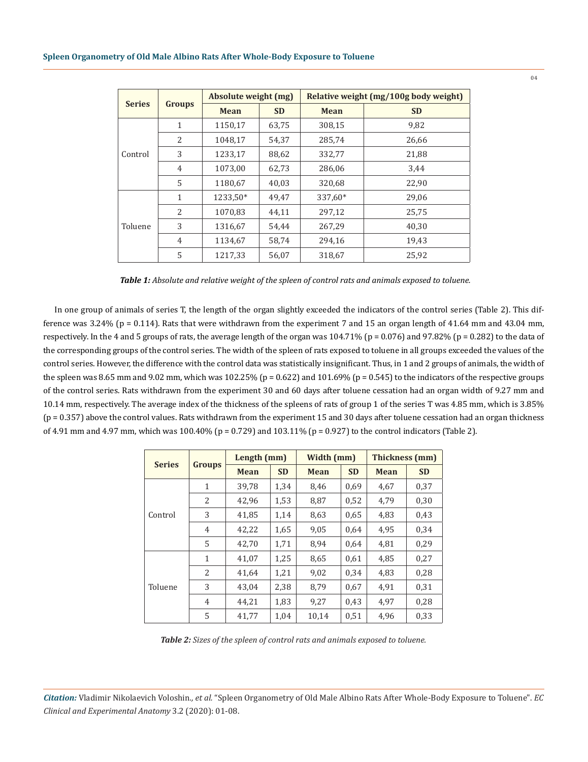| <b>Series</b> | <b>Groups</b>  | Absolute weight (mg) |           | Relative weight (mg/100g body weight) |           |  |  |
|---------------|----------------|----------------------|-----------|---------------------------------------|-----------|--|--|
|               |                | <b>Mean</b>          | <b>SD</b> | <b>Mean</b>                           | <b>SD</b> |  |  |
| Control       | 1              | 1150,17              | 63,75     | 308,15                                | 9,82      |  |  |
|               | 2              | 1048,17              | 54,37     | 285,74                                | 26,66     |  |  |
|               | 3              | 1233,17              | 88,62     | 332,77                                | 21,88     |  |  |
|               | $\overline{4}$ | 1073,00              | 62,73     | 286,06                                | 3.44      |  |  |
|               | 5              | 1180,67              | 40,03     | 320,68                                | 22,90     |  |  |
| Toluene       | 1              | 1233.50*             | 49,47     | 337,60*                               | 29.06     |  |  |
|               | $\overline{2}$ | 1070,83              | 44,11     | 297,12                                | 25,75     |  |  |
|               | 3              | 1316,67              | 54,44     | 267,29                                | 40.30     |  |  |
|               | $\overline{4}$ | 1134,67              | 58,74     | 294,16                                | 19,43     |  |  |
|               | 5              | 1217,33              | 56,07     | 318,67                                | 25,92     |  |  |

In one group of animals of series T, the length of the organ slightly exceeded the indicators of the control series (Table 2). This difference was 3.24% (p = 0.114). Rats that were withdrawn from the experiment 7 and 15 an organ length of 41.64 mm and 43.04 mm, respectively. In the 4 and 5 groups of rats, the average length of the organ was  $104.71\%$  (p = 0.076) and 97.82% (p = 0.282) to the data of the corresponding groups of the control series. The width of the spleen of rats exposed to toluene in all groups exceeded the values of the control series. However, the difference with the control data was statistically insignificant. Thus, in 1 and 2 groups of animals, the width of the spleen was 8.65 mm and 9.02 mm, which was 102.25% ( $p = 0.622$ ) and 101.69% ( $p = 0.545$ ) to the indicators of the respective groups of the control series. Rats withdrawn from the experiment 30 and 60 days after toluene cessation had an organ width of 9.27 mm and 10.14 mm, respectively. The average index of the thickness of the spleens of rats of group 1 of the series T was 4.85 mm, which is 3.85% (p = 0.357) above the control values. Rats withdrawn from the experiment 15 and 30 days after toluene cessation had an organ thickness of 4.91 mm and 4.97 mm, which was  $100.40\%$  (p = 0.729) and  $103.11\%$  (p = 0.927) to the control indicators (Table 2).

| <b>Series</b> |               | Length (mm) |           | Width (mm)  |           | <b>Thickness (mm)</b> |           |
|---------------|---------------|-------------|-----------|-------------|-----------|-----------------------|-----------|
|               | <b>Groups</b> | <b>Mean</b> | <b>SD</b> | <b>Mean</b> | <b>SD</b> | <b>Mean</b>           | <b>SD</b> |
| Control       | $\mathbf{1}$  | 39,78       | 1,34      | 8,46        | 0.69      | 4,67                  | 0,37      |
|               | 2             | 42,96       | 1,53      | 8,87        | 0,52      | 4,79                  | 0,30      |
|               | 3             | 41,85       | 1,14      | 8,63        | 0.65      | 4,83                  | 0,43      |
|               | 4             | 42,22       | 1,65      | 9,05        | 0,64      | 4,95                  | 0,34      |
|               | 5             | 42,70       | 1,71      | 8,94        | 0,64      | 4,81                  | 0,29      |
|               | $\mathbf{1}$  | 41,07       | 1,25      | 8,65        | 0,61      | 4,85                  | 0,27      |
|               | 2             | 41,64       | 1,21      | 9,02        | 0,34      | 4,83                  | 0,28      |
| Toluene       | 3             | 43,04       | 2,38      | 8,79        | 0.67      | 4,91                  | 0,31      |
|               | 4             | 44,21       | 1,83      | 9,27        | 0.43      | 4,97                  | 0,28      |
|               | 5             | 41,77       | 1,04      | 10,14       | 0,51      | 4,96                  | 0,33      |

*Table 2: Sizes of the spleen of control rats and animals exposed to toluene.*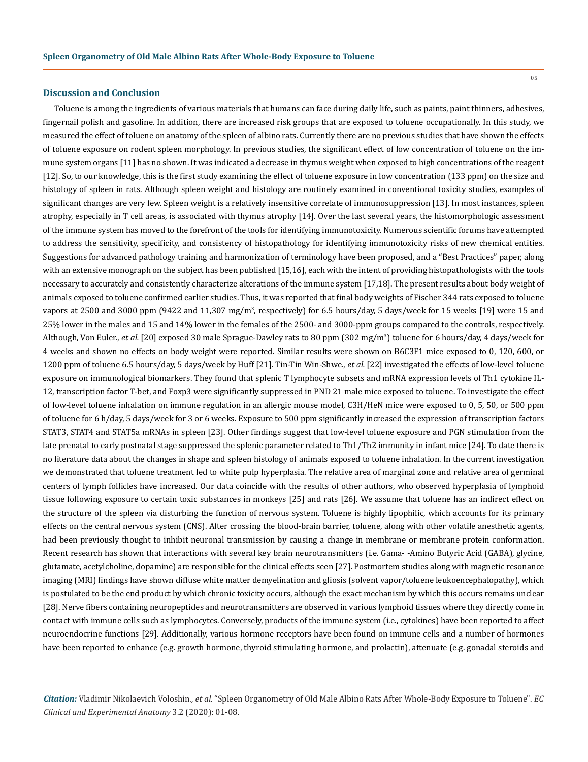#### **Discussion and Conclusion**

Toluene is among the ingredients of various materials that humans can face during daily life, such as paints, paint thinners, adhesives, fingernail polish and gasoline. In addition, there are increased risk groups that are exposed to toluene occupationally. In this study, we measured the effect of toluene on anatomy of the spleen of albino rats. Currently there are no previous studies that have shown the effects of toluene exposure on rodent spleen morphology. In previous studies, the significant effect of low concentration of toluene on the immune system organs [11] has no shown. It was indicated a decrease in thymus weight when exposed to high concentrations of the reagent [12]. So, to our knowledge, this is the first study examining the effect of toluene exposure in low concentration (133 ppm) on the size and histology of spleen in rats. Although spleen weight and histology are routinely examined in conventional toxicity studies, examples of significant changes are very few. Spleen weight is a relatively insensitive correlate of immunosuppression [13]. In most instances, spleen atrophy, especially in T cell areas, is associated with thymus atrophy [14]. Over the last several years, the histomorphologic assessment of the immune system has moved to the forefront of the tools for identifying immunotoxicity. Numerous scientific forums have attempted to address the sensitivity, specificity, and consistency of histopathology for identifying immunotoxicity risks of new chemical entities. Suggestions for advanced pathology training and harmonization of terminology have been proposed, and a "Best Practices" paper, along with an extensive monograph on the subject has been published [15,16], each with the intent of providing histopathologists with the tools necessary to accurately and consistently characterize alterations of the immune system [17,18]. The present results about body weight of animals exposed to toluene confirmed earlier studies. Thus, it was reported that final body weights of Fischer 344 rats exposed to toluene vapors at 2500 and 3000 ppm (9422 and 11,307 mg/m<sup>3</sup>, respectively) for 6.5 hours/day, 5 days/week for 15 weeks [19] were 15 and 25% lower in the males and 15 and 14% lower in the females of the 2500- and 3000-ppm groups compared to the controls, respectively. Although, Von Euler., *et al.* [20] exposed 30 male Sprague-Dawley rats to 80 ppm (302 mg/m<sup>3</sup>) toluene for 6 hours/day, 4 days/week for 4 weeks and shown no effects on body weight were reported. Similar results were shown on B6C3F1 mice exposed to 0, 120, 600, or 1200 ppm of toluene 6.5 hours/day, 5 days/week by Huff [21]. Tin-Tin Win-Shwe., *et al.* [22] investigated the effects of low-level toluene exposure on immunological biomarkers. They found that splenic T lymphocyte subsets and mRNA expression levels of Th1 cytokine IL-12, transcription factor T-bet, and Foxp3 were significantly suppressed in PND 21 male mice exposed to toluene. To investigate the effect of low-level toluene inhalation on immune regulation in an allergic mouse model, C3H/HeN mice were exposed to 0, 5, 50, or 500 ppm of toluene for 6 h/day, 5 days/week for 3 or 6 weeks. Exposure to 500 ppm significantly increased the expression of transcription factors STAT3, STAT4 and STAT5a mRNAs in spleen [23]. Other findings suggest that low-level toluene exposure and PGN stimulation from the late prenatal to early postnatal stage suppressed the splenic parameter related to Th1/Th2 immunity in infant mice [24]. To date there is no literature data about the changes in shape and spleen histology of animals exposed to toluene inhalation. In the current investigation we demonstrated that toluene treatment led to white pulp hyperplasia. The relative area of marginal zone and relative area of germinal centers of lymph follicles have increased. Our data coincide with the results of other authors, who observed hyperplasia of lymphoid tissue following exposure to certain toxic substances in monkeys [25] and rats [26]. We assume that toluene has an indirect effect on the structure of the spleen via disturbing the function of nervous system. Toluene is highly lipophilic, which accounts for its primary effects on the central nervous system (CNS). After crossing the blood-brain barrier, toluene, along with other volatile anesthetic agents, had been previously thought to inhibit neuronal transmission by causing a change in membrane or membrane protein conformation. Recent research has shown that interactions with several key brain neurotransmitters (i.e. Gama- -Amino Butyric Acid (GABA), glycine, glutamate, acetylcholine, dopamine) are responsible for the clinical effects seen [27]. Postmortem studies along with magnetic resonance imaging (MRI) findings have shown diffuse white matter demyelination and gliosis (solvent vapor/toluene leukoencephalopathy), which is postulated to be the end product by which chronic toxicity occurs, although the exact mechanism by which this occurs remains unclear [28]. Nerve fibers containing neuropeptides and neurotransmitters are observed in various lymphoid tissues where they directly come in contact with immune cells such as lymphocytes. Conversely, products of the immune system (i.e., cytokines) have been reported to affect neuroendocrine functions [29]. Additionally, various hormone receptors have been found on immune cells and a number of hormones have been reported to enhance (e.g. growth hormone, thyroid stimulating hormone, and prolactin), attenuate (e.g. gonadal steroids and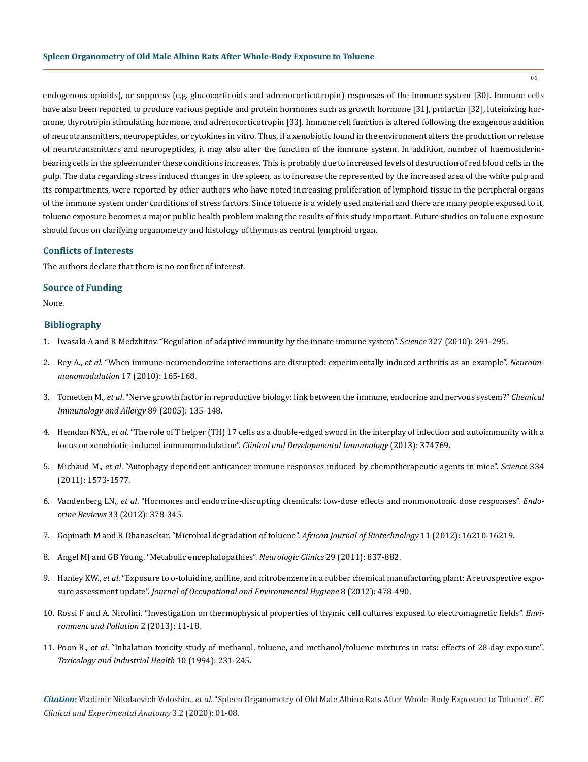endogenous opioids), or suppress (e.g. glucocorticoids and adrenocorticotropin) responses of the immune system [30]. Immune cells have also been reported to produce various peptide and protein hormones such as growth hormone [31], prolactin [32], luteinizing hormone, thyrotropin stimulating hormone, and adrenocorticotropin [33]. Immune cell function is altered following the exogenous addition of neurotransmitters, neuropeptides, or cytokines in vitro. Thus, if a xenobiotic found in the environment alters the production or release of neurotransmitters and neuropeptides, it may also alter the function of the immune system. In addition, number of haemosiderinbearing cells in the spleen under these conditions increases. This is probably due to increased levels of destruction of red blood cells in the pulp. The data regarding stress induced changes in the spleen, as to increase the represented by the increased area of the white pulp and its compartments, were reported by other authors who have noted increasing proliferation of lymphoid tissue in the peripheral organs of the immune system under conditions of stress factors. Since toluene is a widely used material and there are many people exposed to it, toluene exposure becomes a major public health problem making the results of this study important. Future studies on toluene exposure should focus on clarifying organometry and histology of thymus as central lymphoid organ.

#### **Conflicts of Interests**

The authors declare that there is no conflict of interest.

#### **Source of Funding**

None.

## **Bibliography**

- 1. [Iwasaki A and R Medzhitov. "Regulation of adaptive immunity by the innate immune system".](https://www.ncbi.nlm.nih.gov/pubmed/20075244) *Science* 327 (2010): 291-295.
- 2. Rey A., *et al*[. "When immune-neuroendocrine interactions are disrupted: experimentally induced arthritis as an example".](https://www.researchgate.net/publication/41409020_When_Immune-Neuro-Endocrine_Interactions_Are_Disrupted_Experimentally_Induced_Arthritis_as_an_Example) *Neuroimmunomodulation* [17 \(2010\): 165-168.](https://www.researchgate.net/publication/41409020_When_Immune-Neuro-Endocrine_Interactions_Are_Disrupted_Experimentally_Induced_Arthritis_as_an_Example)
- 3. Tometten M., *et al*[. "Nerve growth factor in reproductive biology: link between the immune, endocrine and nervous system?"](https://www.ncbi.nlm.nih.gov/pubmed/16129960) *Chemical [Immunology and Allergy](https://www.ncbi.nlm.nih.gov/pubmed/16129960)* 89 (2005): 135-148.
- 4. Hemdan NYA., *et al*[. "The role of T helper \(TH\) 17 cells as a double-edged sword in the interplay of infection and autoimmunity with a](https://www.ncbi.nlm.nih.gov/pmc/articles/PMC3787652/)  [focus on xenobiotic-induced immunomodulation".](https://www.ncbi.nlm.nih.gov/pmc/articles/PMC3787652/) *Clinical and Developmental Immunology* (2013): 374769.
- 5. Michaud M., *et al*[. "Autophagy dependent anticancer immune responses induced by chemotherapeutic agents in mice".](https://www.researchgate.net/publication/51884214_Autophagy-Dependent_Anticancer_Immune_Responses_Induced_by_Chemotherapeutic_Agents_in_Mice) *Science* 334 [\(2011\): 1573-1577.](https://www.researchgate.net/publication/51884214_Autophagy-Dependent_Anticancer_Immune_Responses_Induced_by_Chemotherapeutic_Agents_in_Mice)
- 6. Vandenberg LN., *et al*[. "Hormones and endocrine-disrupting chemicals: low-dose effects and nonmonotonic dose responses".](https://www.ncbi.nlm.nih.gov/pubmed/22419778) *Endocrine Reviews* [33 \(2012\): 378-345.](https://www.ncbi.nlm.nih.gov/pubmed/22419778)
- 7. [Gopinath M and R Dhanasekar. "Microbial degradation of toluene".](https://www.researchgate.net/publication/280718216_Microbial_degradation_of_toluene) *African Journal of Biotechnology* 11 (2012): 16210-16219.
- 8. [Angel MJ and GB Young. "Metabolic encephalopathies".](https://www.ncbi.nlm.nih.gov/pubmed/22032664) *Neurologic Clinics* 29 (2011): 837-882.
- 9. Hanley KW., *et al*[. "Exposure to o-toluidine, aniline, and nitrobenzene in a rubber chemical manufacturing plant: A retrospective expo](https://www.ncbi.nlm.nih.gov/pubmed/22708702)sure assessment update". *[Journal of Occupational and Environmental Hygiene](https://www.ncbi.nlm.nih.gov/pubmed/22708702)* 8 (2012): 478-490.
- 10. [Rossi F and A. Nicolini. "Investigation on thermophysical properties of thymic cell cultures exposed to electromagnetic fields".](http://www.ccsenet.org/journal/index.php/ep/article/view/19397) *Envi[ronment and Pollution](http://www.ccsenet.org/journal/index.php/ep/article/view/19397)* 2 (2013): 11-18.
- 11. Poon R., *et al*[. "Inhalation toxicity study of methanol, toluene, and methanol/toluene mixtures in rats: effects of 28-day exposure".](https://www.ncbi.nlm.nih.gov/pubmed/7855870)  *[Toxicology and Industrial Health](https://www.ncbi.nlm.nih.gov/pubmed/7855870)* 10 (1994): 231-245.

*Citation:* Vladimir Nikolaevich Voloshin*., et al.* "Spleen Organometry of Old Male Albino Rats After Whole-Body Exposure to Toluene". *EC Clinical and Experimental Anatomy* 3.2 (2020): 01-08.

06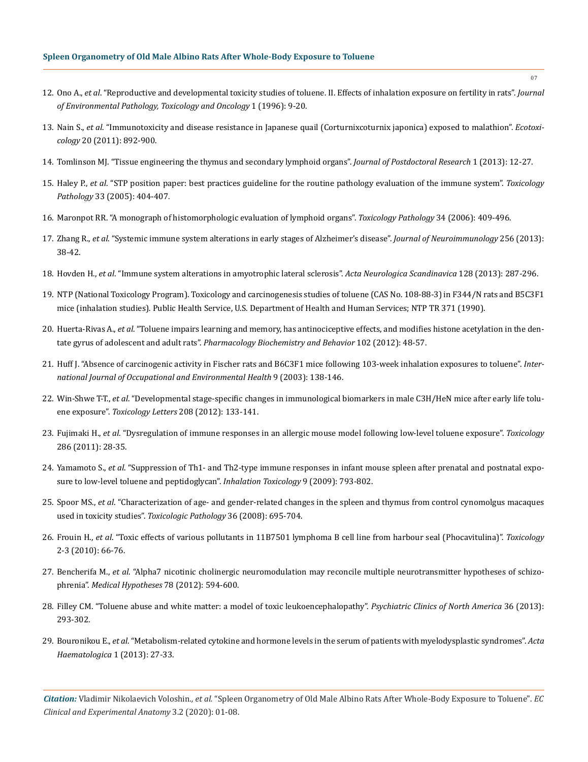- 12. Ono A., *et al*[. "Reproductive and developmental toxicity studies of toluene. II. Effects of inhalation exposure on fertility in rats".](https://www.ncbi.nlm.nih.gov/pubmed/9037260) *Journal [of Environmental Pathology, Toxicology and Oncology](https://www.ncbi.nlm.nih.gov/pubmed/9037260)* 1 (1996): 9-20.
- 13. Nain S., *et al*[. "Immunotoxicity and disease resistance in Japanese quail \(Corturnixcoturnix japonica\) exposed to malathion".](https://www.ncbi.nlm.nih.gov/pubmed/21448623) *Ecotoxicology* [20 \(2011\): 892-900.](https://www.ncbi.nlm.nih.gov/pubmed/21448623)
- 14. [Tomlinson MJ. "Tissue engineering the thymus and secondary lymphoid organs".](https://www.researchgate.net/publication/236867949_Tissue_Engineering_the_Thymus_and_Secondary_Lymphoid_Organs) *Journal of Postdoctoral Research* 1 (2013): 12-27.
- 15. Haley P., *et al*[. "STP position paper: best practices guideline for the routine pathology evaluation of the immune system".](https://www.ncbi.nlm.nih.gov/pubmed/15805080) *Toxicology Pathology* [33 \(2005\): 404-407.](https://www.ncbi.nlm.nih.gov/pubmed/15805080)
- 16. [Maronpot RR. "A monograph of histomorphologic evaluation of lymphoid organs".](https://www.ncbi.nlm.nih.gov/pubmed/17067936) *Toxicology Pathology* 34 (2006): 409-496.
- 17. Zhang R., *et al*[. "Systemic immune system alterations in early stages of Alzheimer's disease".](https://www.ncbi.nlm.nih.gov/pubmed/23380586) *Journal of Neuroimmunology* 256 (2013): [38-42.](https://www.ncbi.nlm.nih.gov/pubmed/23380586)
- 18. Hovden H., *et al*[. "Immune system alterations in amyotrophic lateral sclerosis".](https://www.ncbi.nlm.nih.gov/pubmed/23550891) *Acta Neurologica Scandinavica* 128 (2013): 287-296.
- 19. [NTP \(National Toxicology Program\). Toxicology and carcinogenesis studies of toluene \(CAS No. 108-88-3\) in F344/N rats and B5C3F1](https://www.ncbi.nlm.nih.gov/pubmed/12692650) [mice \(inhalation studies\). Public Health Service, U.S. Department of Health and Human Services; NTP TR 371 \(1990\).](https://www.ncbi.nlm.nih.gov/pubmed/12692650)
- 20. Huerta-Rivas A., *et al*[. "Toluene impairs learning and memory, has antinociceptive effects, and modifies histone acetylation in the den](https://www.ncbi.nlm.nih.gov/pubmed/22497993)tate gyrus of adolescent and adult rats". *[Pharmacology Biochemistry and Behavior](https://www.ncbi.nlm.nih.gov/pubmed/22497993)* 102 (2012): 48-57.
- 21. [Huff J. "Absence of carcinogenic activity in Fischer rats and B6C3F1 mice following 103-week inhalation exposures to toluene".](https://www.ncbi.nlm.nih.gov/pubmed/12848242) *Inter[national Journal of Occupational and Environmental Health](https://www.ncbi.nlm.nih.gov/pubmed/12848242)* 9 (2003): 138-146.
- 22. Win-Shwe T-T., *et al*[. "Developmental stage-specific changes in immunological biomarkers in male C3H/HeN mice after early life tolu](https://www.ncbi.nlm.nih.gov/pubmed/22057034)ene exposure". *Toxicology Letters* [208 \(2012\): 133-141.](https://www.ncbi.nlm.nih.gov/pubmed/22057034)
- 23. Fujimaki H., *et al*[. "Dysregulation of immune responses in an allergic mouse model following low-level toluene exposure".](https://www.ncbi.nlm.nih.gov/pubmed/21601613) *Toxicology* [286 \(2011\): 28-35.](https://www.ncbi.nlm.nih.gov/pubmed/21601613)
- 24. Yamamoto S., *et al*[. "Suppression of Th1- and Th2-type immune responses in infant mouse spleen after prenatal and postnatal expo](https://www.ncbi.nlm.nih.gov/pubmed/19645570)[sure to low-level toluene and peptidoglycan".](https://www.ncbi.nlm.nih.gov/pubmed/19645570) *Inhalation Toxicology* 9 (2009): 793-802.
- 25. Spoor MS., *et al*[. "Characterization of age- and gender-related changes in the spleen and thymus from control cynomolgus macaques](https://www.ncbi.nlm.nih.gov/pubmed/18648098)  used in toxicity studies". *[Toxicologic Pathology](https://www.ncbi.nlm.nih.gov/pubmed/18648098)* 36 (2008): 695-704.
- 26. Frouin H., *et al*[. "Toxic effects of various pollutants in 11B7501 lymphoma B cell line from harbour seal \(Phocavitulina\)".](https://www.ncbi.nlm.nih.gov/pubmed/20116412) *Toxicology* [2-3 \(2010\): 66-76.](https://www.ncbi.nlm.nih.gov/pubmed/20116412)
- 27. Bencherifa M., *et al*[. "Alpha7 nicotinic cholinergic neuromodulation may reconcile multiple neurotransmitter hypotheses of schizo](https://www.ncbi.nlm.nih.gov/pubmed/22336089)phrenia". *[Medical Hypotheses](https://www.ncbi.nlm.nih.gov/pubmed/22336089)* 78 (2012): 594-600.
- 28. [Filley CM. "Toluene abuse and white matter: a model of toxic leukoencephalopathy".](https://www.ncbi.nlm.nih.gov/pubmed/23688693) *Psychiatric Clinics of North America* 36 (2013): [293-302.](https://www.ncbi.nlm.nih.gov/pubmed/23688693)
- 29. Bouronikou E., *et al*[. "Metabolism-related cytokine and hormone levels in the serum of patients with myelodysplastic syndromes".](https://www.researchgate.net/publication/235422083_Metabolism-Related_Cytokine_and_Hormone_Levels_in_the_Serum_of_Patients_with_Myelodysplastic_Syndromes) *Acta [Haematologica](https://www.researchgate.net/publication/235422083_Metabolism-Related_Cytokine_and_Hormone_Levels_in_the_Serum_of_Patients_with_Myelodysplastic_Syndromes)* 1 (2013): 27-33.